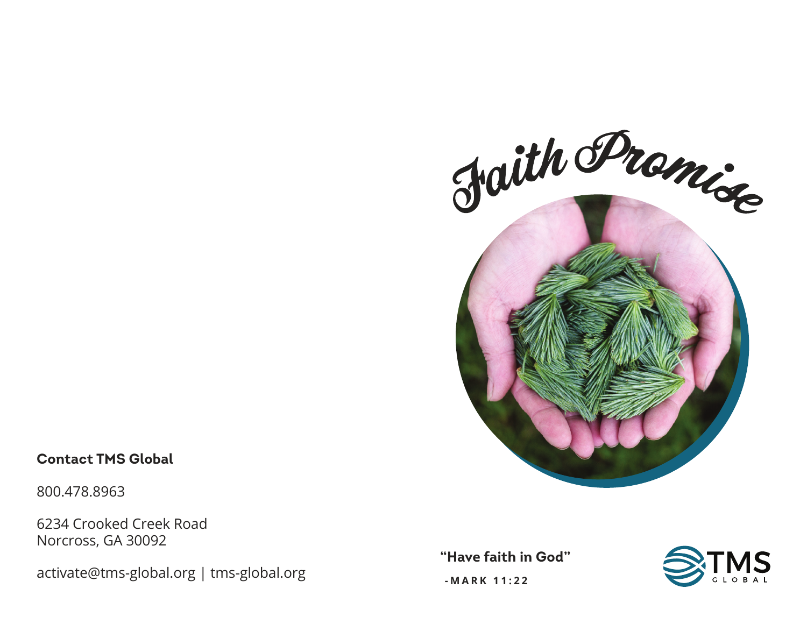

## **Contact TMS Global**

800.478.8963

6234 Crooked Creek Road Norcross, GA 30092

activate@tms-global.org | tms-global.org

**"Have faith in God"**



 **-MARK 11:22**